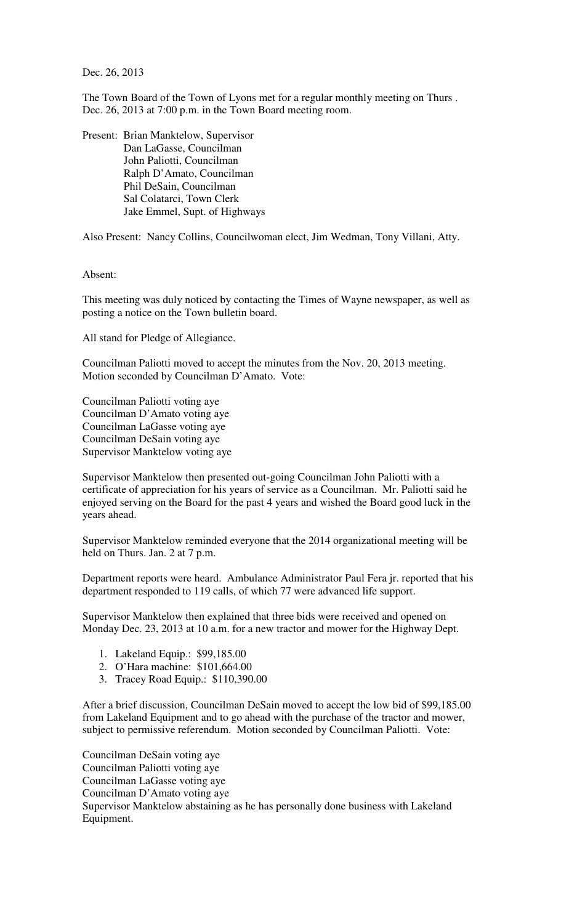Dec. 26, 2013

The Town Board of the Town of Lyons met for a regular monthly meeting on Thurs . Dec. 26, 2013 at 7:00 p.m. in the Town Board meeting room.

Present: Brian Manktelow, Supervisor Dan LaGasse, Councilman John Paliotti, Councilman Ralph D'Amato, Councilman Phil DeSain, Councilman Sal Colatarci, Town Clerk Jake Emmel, Supt. of Highways

Also Present: Nancy Collins, Councilwoman elect, Jim Wedman, Tony Villani, Atty.

Absent:

This meeting was duly noticed by contacting the Times of Wayne newspaper, as well as posting a notice on the Town bulletin board.

All stand for Pledge of Allegiance.

Councilman Paliotti moved to accept the minutes from the Nov. 20, 2013 meeting. Motion seconded by Councilman D'Amato. Vote:

Councilman Paliotti voting aye Councilman D'Amato voting aye Councilman LaGasse voting aye Councilman DeSain voting aye Supervisor Manktelow voting aye

Supervisor Manktelow then presented out-going Councilman John Paliotti with a certificate of appreciation for his years of service as a Councilman. Mr. Paliotti said he enjoyed serving on the Board for the past 4 years and wished the Board good luck in the years ahead.

Supervisor Manktelow reminded everyone that the 2014 organizational meeting will be held on Thurs. Jan. 2 at 7 p.m.

Department reports were heard. Ambulance Administrator Paul Fera jr. reported that his department responded to 119 calls, of which 77 were advanced life support.

Supervisor Manktelow then explained that three bids were received and opened on Monday Dec. 23, 2013 at 10 a.m. for a new tractor and mower for the Highway Dept.

- 1. Lakeland Equip.: \$99,185.00
- 2. O'Hara machine: \$101,664.00
- 3. Tracey Road Equip.: \$110,390.00

After a brief discussion, Councilman DeSain moved to accept the low bid of \$99,185.00 from Lakeland Equipment and to go ahead with the purchase of the tractor and mower, subject to permissive referendum. Motion seconded by Councilman Paliotti. Vote:

Councilman DeSain voting aye Councilman Paliotti voting aye Councilman LaGasse voting aye Councilman D'Amato voting aye Supervisor Manktelow abstaining as he has personally done business with Lakeland Equipment.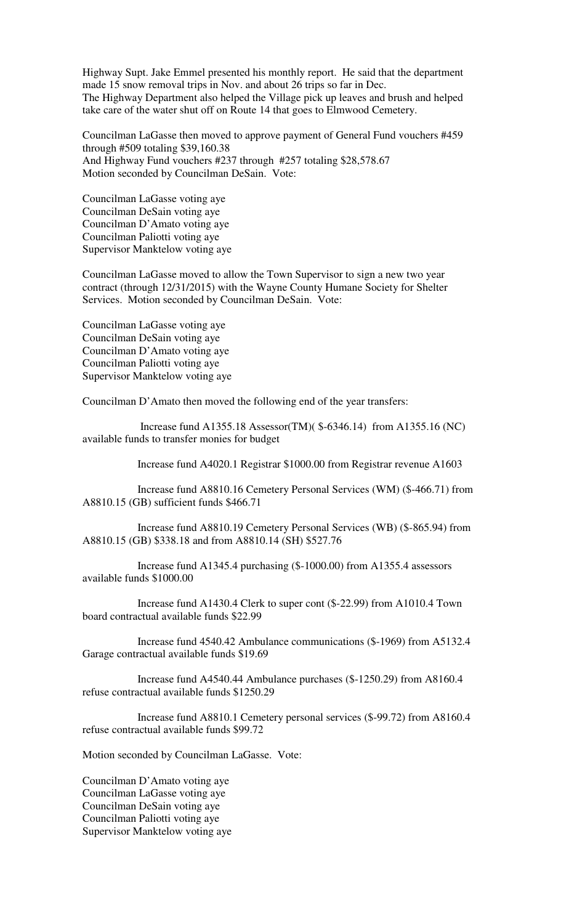Highway Supt. Jake Emmel presented his monthly report. He said that the department made 15 snow removal trips in Nov. and about 26 trips so far in Dec. The Highway Department also helped the Village pick up leaves and brush and helped take care of the water shut off on Route 14 that goes to Elmwood Cemetery.

Councilman LaGasse then moved to approve payment of General Fund vouchers #459 through #509 totaling \$39,160.38 And Highway Fund vouchers #237 through #257 totaling \$28,578.67 Motion seconded by Councilman DeSain. Vote:

Councilman LaGasse voting aye Councilman DeSain voting aye Councilman D'Amato voting aye Councilman Paliotti voting aye Supervisor Manktelow voting aye

Councilman LaGasse moved to allow the Town Supervisor to sign a new two year contract (through 12/31/2015) with the Wayne County Humane Society for Shelter Services. Motion seconded by Councilman DeSain. Vote:

Councilman LaGasse voting aye Councilman DeSain voting aye Councilman D'Amato voting aye Councilman Paliotti voting aye Supervisor Manktelow voting aye

Councilman D'Amato then moved the following end of the year transfers:

 Increase fund A1355.18 Assessor(TM)( \$-6346.14) from A1355.16 (NC) available funds to transfer monies for budget

Increase fund A4020.1 Registrar \$1000.00 from Registrar revenue A1603

 Increase fund A8810.16 Cemetery Personal Services (WM) (\$-466.71) from A8810.15 (GB) sufficient funds \$466.71

 Increase fund A8810.19 Cemetery Personal Services (WB) (\$-865.94) from A8810.15 (GB) \$338.18 and from A8810.14 (SH) \$527.76

 Increase fund A1345.4 purchasing (\$-1000.00) from A1355.4 assessors available funds \$1000.00

 Increase fund A1430.4 Clerk to super cont (\$-22.99) from A1010.4 Town board contractual available funds \$22.99

 Increase fund 4540.42 Ambulance communications (\$-1969) from A5132.4 Garage contractual available funds \$19.69

 Increase fund A4540.44 Ambulance purchases (\$-1250.29) from A8160.4 refuse contractual available funds \$1250.29

 Increase fund A8810.1 Cemetery personal services (\$-99.72) from A8160.4 refuse contractual available funds \$99.72

Motion seconded by Councilman LaGasse. Vote:

Councilman D'Amato voting aye Councilman LaGasse voting aye Councilman DeSain voting aye Councilman Paliotti voting aye Supervisor Manktelow voting aye